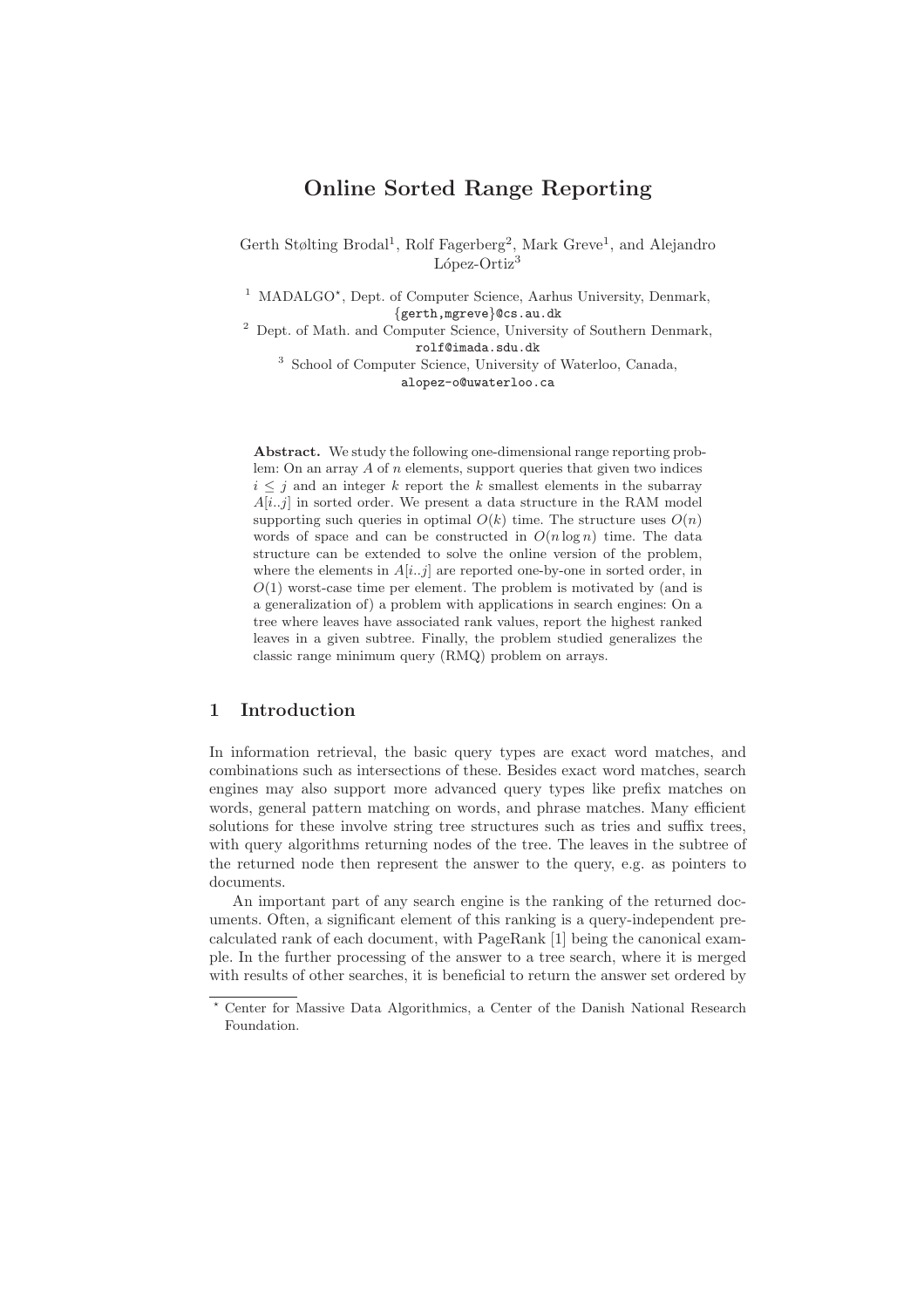# Online Sorted Range Reporting

Gerth Stølting Brodal<sup>1</sup>, Rolf Fagerberg<sup>2</sup>, Mark Greve<sup>1</sup>, and Alejandro López-Ortiz<sup>3</sup>

<sup>1</sup> MADALGO<sup>\*</sup>, Dept. of Computer Science, Aarhus University, Denmark, {gerth,mgreve}@cs.au.dk

<sup>2</sup> Dept. of Math. and Computer Science, University of Southern Denmark, rolf@imada.sdu.dk

<sup>3</sup> School of Computer Science, University of Waterloo, Canada, alopez-o@uwaterloo.ca

Abstract. We study the following one-dimensional range reporting problem: On an array  $A$  of  $n$  elements, support queries that given two indices  $i \leq j$  and an integer k report the k smallest elements in the subarray  $A[i..j]$  in sorted order. We present a data structure in the RAM model supporting such queries in optimal  $O(k)$  time. The structure uses  $O(n)$ words of space and can be constructed in  $O(n \log n)$  time. The data structure can be extended to solve the online version of the problem, where the elements in  $A[i..j]$  are reported one-by-one in sorted order, in  $O(1)$  worst-case time per element. The problem is motivated by (and is a generalization of) a problem with applications in search engines: On a tree where leaves have associated rank values, report the highest ranked leaves in a given subtree. Finally, the problem studied generalizes the classic range minimum query (RMQ) problem on arrays.

## 1 Introduction

In information retrieval, the basic query types are exact word matches, and combinations such as intersections of these. Besides exact word matches, search engines may also support more advanced query types like prefix matches on words, general pattern matching on words, and phrase matches. Many efficient solutions for these involve string tree structures such as tries and suffix trees, with query algorithms returning nodes of the tree. The leaves in the subtree of the returned node then represent the answer to the query, e.g. as pointers to documents.

An important part of any search engine is the ranking of the returned documents. Often, a significant element of this ranking is a query-independent precalculated rank of each document, with PageRank [1] being the canonical example. In the further processing of the answer to a tree search, where it is merged with results of other searches, it is beneficial to return the answer set ordered by

<sup>⋆</sup> Center for Massive Data Algorithmics, a Center of the Danish National Research Foundation.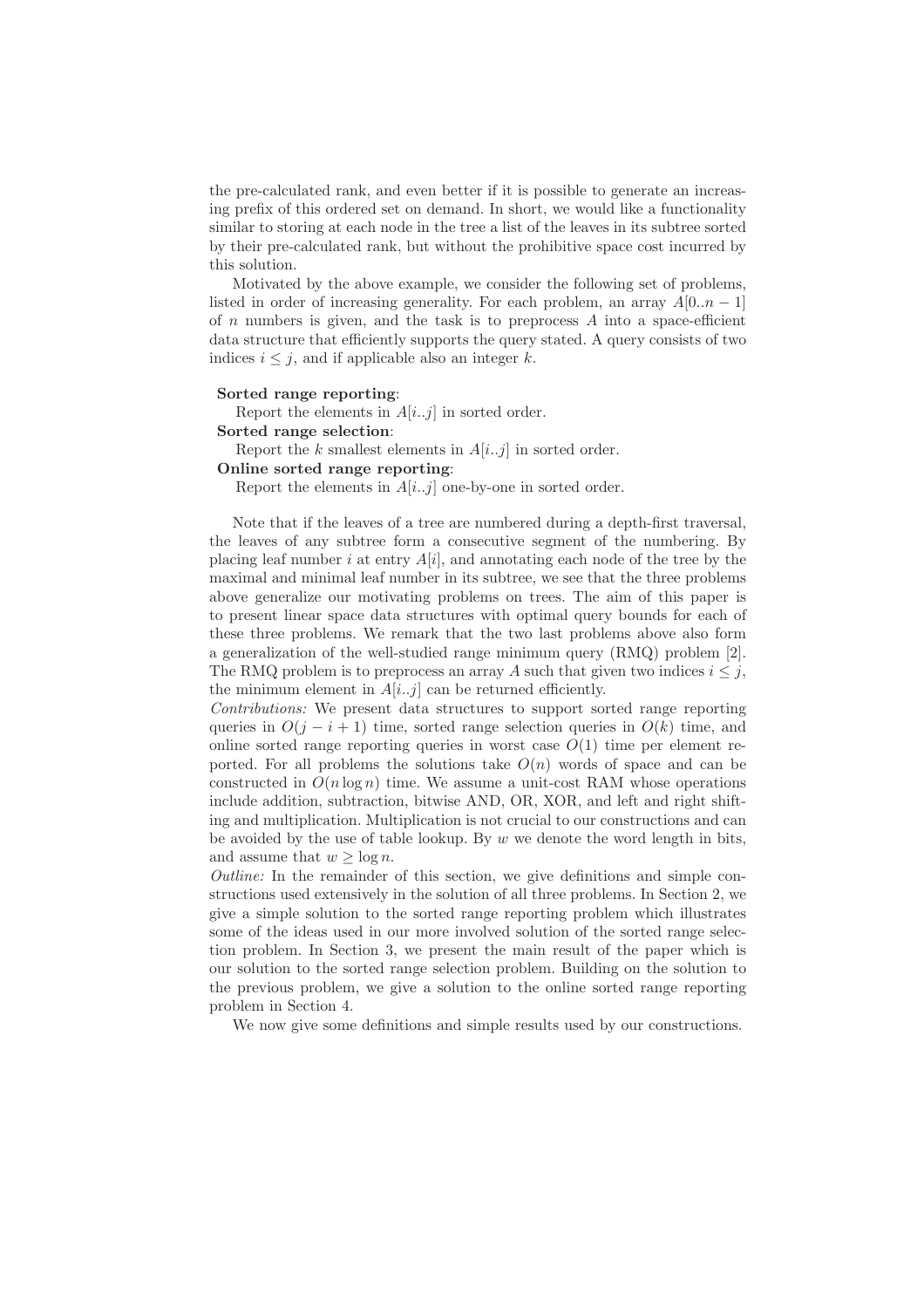the pre-calculated rank, and even better if it is possible to generate an increasing prefix of this ordered set on demand. In short, we would like a functionality similar to storing at each node in the tree a list of the leaves in its subtree sorted by their pre-calculated rank, but without the prohibitive space cost incurred by this solution.

Motivated by the above example, we consider the following set of problems, listed in order of increasing generality. For each problem, an array  $A[0..n-1]$ of  $n$  numbers is given, and the task is to preprocess  $A$  into a space-efficient data structure that efficiently supports the query stated. A query consists of two indices  $i \leq j$ , and if applicable also an integer k.

#### Sorted range reporting:

Report the elements in  $A[i..j]$  in sorted order.

Sorted range selection:

Report the k smallest elements in  $A[i..j]$  in sorted order.

### Online sorted range reporting:

Report the elements in  $A[i..j]$  one-by-one in sorted order.

Note that if the leaves of a tree are numbered during a depth-first traversal, the leaves of any subtree form a consecutive segment of the numbering. By placing leaf number i at entry  $A[i]$ , and annotating each node of the tree by the maximal and minimal leaf number in its subtree, we see that the three problems above generalize our motivating problems on trees. The aim of this paper is to present linear space data structures with optimal query bounds for each of these three problems. We remark that the two last problems above also form a generalization of the well-studied range minimum query (RMQ) problem [2]. The RMQ problem is to preprocess an array A such that given two indices  $i \leq j$ , the minimum element in  $A[i..j]$  can be returned efficiently.

*Contributions:* We present data structures to support sorted range reporting queries in  $O(j - i + 1)$  time, sorted range selection queries in  $O(k)$  time, and online sorted range reporting queries in worst case  $O(1)$  time per element reported. For all problems the solutions take  $O(n)$  words of space and can be constructed in  $O(n \log n)$  time. We assume a unit-cost RAM whose operations include addition, subtraction, bitwise AND, OR, XOR, and left and right shifting and multiplication. Multiplication is not crucial to our constructions and can be avoided by the use of table lookup. By  $w$  we denote the word length in bits, and assume that  $w \geq \log n$ .

*Outline:* In the remainder of this section, we give definitions and simple constructions used extensively in the solution of all three problems. In Section 2, we give a simple solution to the sorted range reporting problem which illustrates some of the ideas used in our more involved solution of the sorted range selection problem. In Section 3, we present the main result of the paper which is our solution to the sorted range selection problem. Building on the solution to the previous problem, we give a solution to the online sorted range reporting problem in Section 4.

We now give some definitions and simple results used by our constructions.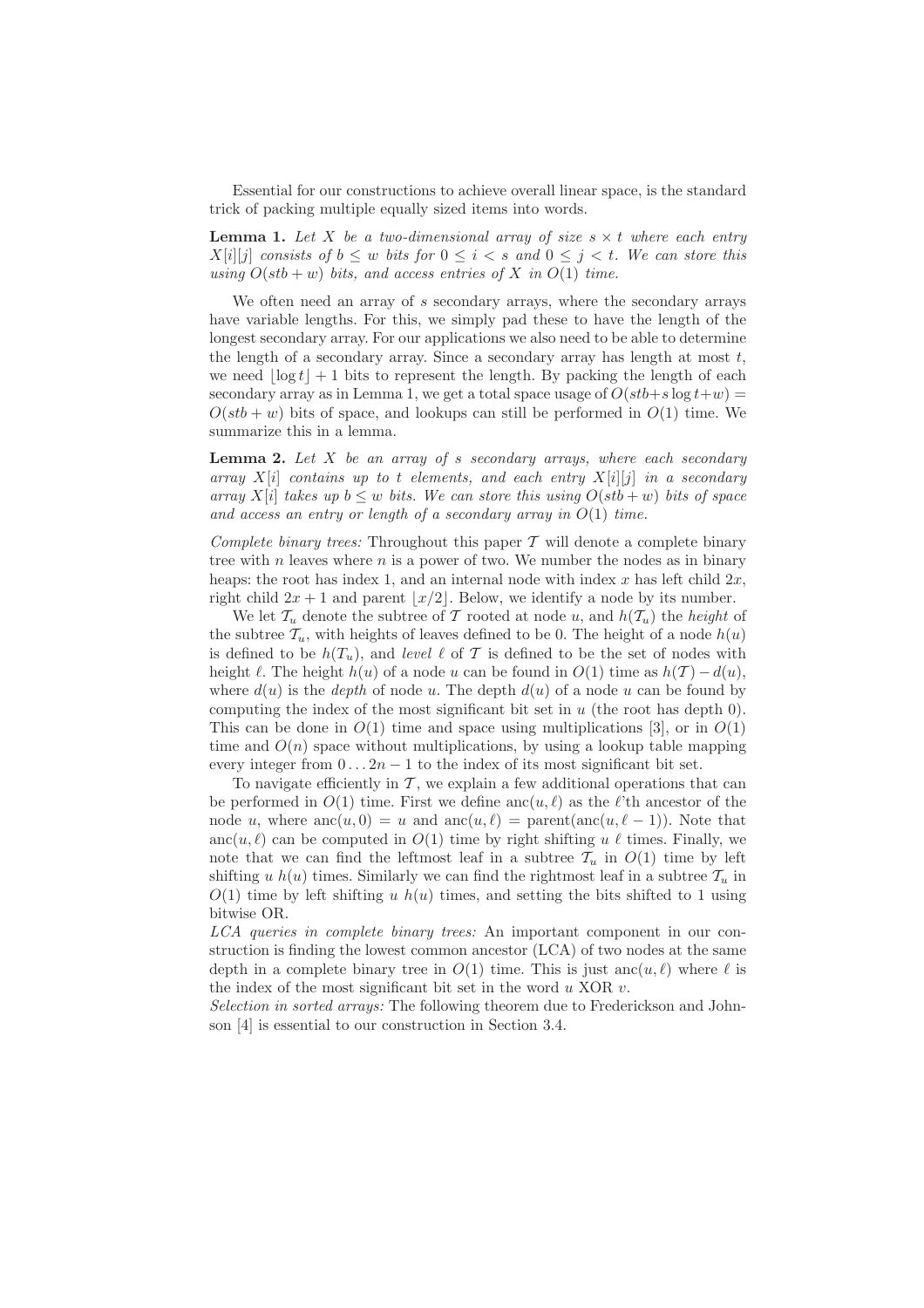Essential for our constructions to achieve overall linear space, is the standard trick of packing multiple equally sized items into words.

**Lemma 1.** Let X be a two-dimensional array of size  $s \times t$  where each entry  $X[i][j]$  *consists of*  $b \leq w$  *bits for*  $0 \leq i < s$  *and*  $0 \leq j < t$ *. We can store this using*  $O(stb + w)$  *bits, and access entries of* X *in*  $O(1)$  *time.* 

We often need an array of s secondary arrays, where the secondary arrays have variable lengths. For this, we simply pad these to have the length of the longest secondary array. For our applications we also need to be able to determine the length of a secondary array. Since a secondary array has length at most  $t$ , we need  $|\log t| + 1$  bits to represent the length. By packing the length of each secondary array as in Lemma 1, we get a total space usage of  $O(stb+s\log t+w)$  $O(stb + w)$  bits of space, and lookups can still be performed in  $O(1)$  time. We summarize this in a lemma.

Lemma 2. *Let* X *be an array of* s *secondary arrays, where each secondary array*  $X[i]$  *contains up to t elements, and each entry*  $X[i][j]$  *in a secondary array*  $X[i]$  *takes up*  $b \leq w$  *bits. We can store this using*  $O(stb + w)$  *bits of space and access an entry or length of a secondary array in* O(1) *time.*

*Complete binary trees:* Throughout this paper  $\mathcal T$  will denote a complete binary tree with  $n$  leaves where  $n$  is a power of two. We number the nodes as in binary heaps: the root has index 1, and an internal node with index  $x$  has left child  $2x$ , right child  $2x + 1$  and parent  $|x/2|$ . Below, we identify a node by its number.

We let  $\mathcal{T}_u$  denote the subtree of T rooted at node u, and  $h(\mathcal{T}_u)$  the *height* of the subtree  $\mathcal{T}_u$ , with heights of leaves defined to be 0. The height of a node  $h(u)$ is defined to be  $h(T_u)$ , and *level*  $\ell$  of  $\mathcal T$  is defined to be the set of nodes with height  $\ell$ . The height  $h(u)$  of a node u can be found in  $O(1)$  time as  $h(T) - d(u)$ , where  $d(u)$  is the *depth* of node u. The depth  $d(u)$  of a node u can be found by computing the index of the most significant bit set in  $u$  (the root has depth 0). This can be done in  $O(1)$  time and space using multiplications [3], or in  $O(1)$ time and  $O(n)$  space without multiplications, by using a lookup table mapping every integer from  $0 \dots 2n - 1$  to the index of its most significant bit set.

To navigate efficiently in  $\mathcal T$ , we explain a few additional operations that can be performed in  $O(1)$  time. First we define anc $(u, \ell)$  as the  $\ell$ <sup>th</sup> ancestor of the node u, where anc $(u, 0) = u$  and anc $(u, \ell) =$  parent $(\text{anc}(u, \ell - 1))$ . Note that anc $(u, \ell)$  can be computed in  $O(1)$  time by right shifting u  $\ell$  times. Finally, we note that we can find the leftmost leaf in a subtree  $\mathcal{T}_u$  in  $O(1)$  time by left shifting u  $h(u)$  times. Similarly we can find the rightmost leaf in a subtree  $\mathcal{T}_u$  in  $O(1)$  time by left shifting u  $h(u)$  times, and setting the bits shifted to 1 using bitwise OR.

*LCA queries in complete binary trees:* An important component in our construction is finding the lowest common ancestor (LCA) of two nodes at the same depth in a complete binary tree in  $O(1)$  time. This is just anc $(u, \ell)$  where  $\ell$  is the index of the most significant bit set in the word  $u$  XOR  $v$ .

*Selection in sorted arrays:* The following theorem due to Frederickson and Johnson [4] is essential to our construction in Section 3.4.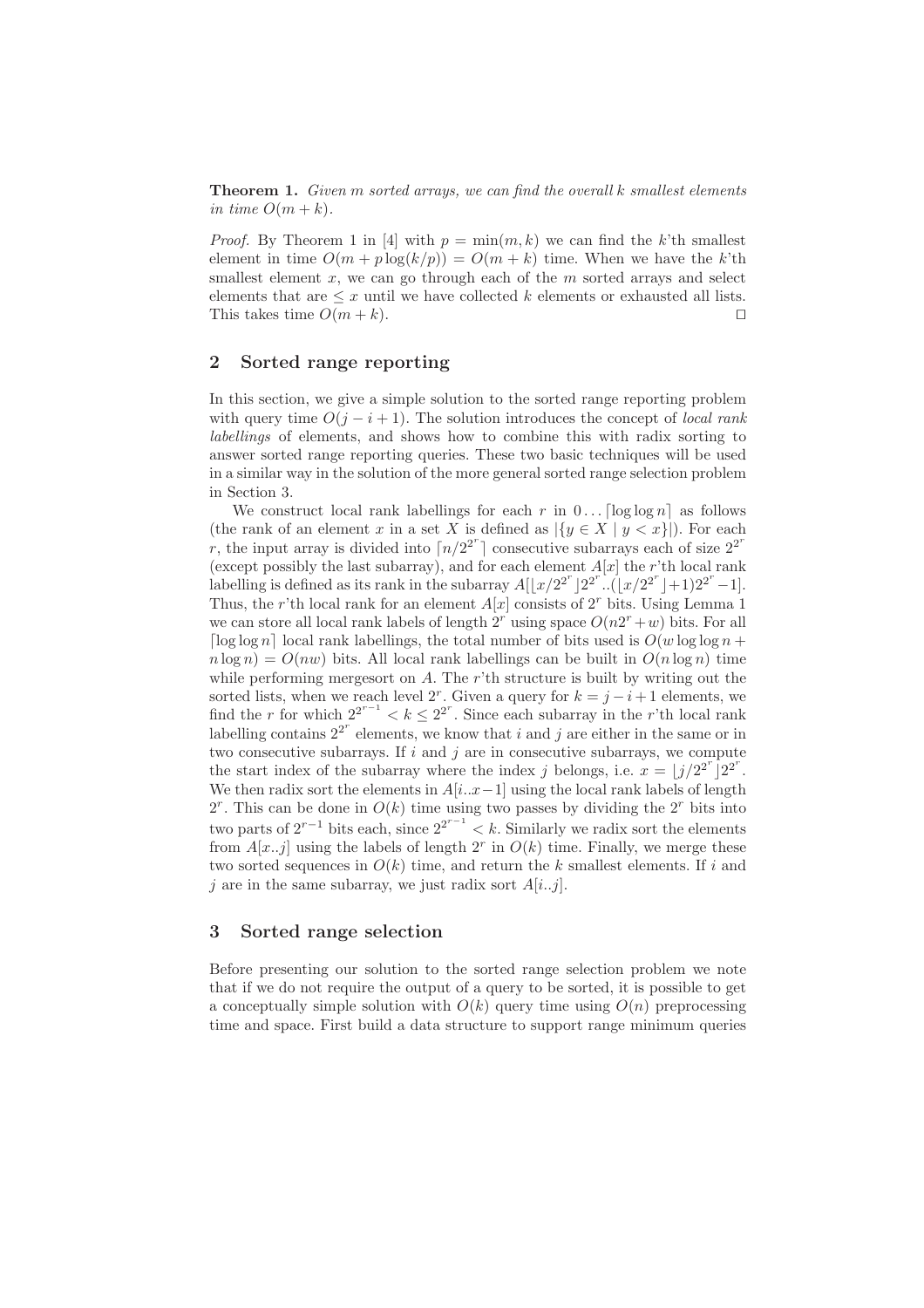Theorem 1. *Given* m *sorted arrays, we can find the overall* k *smallest elements in time*  $O(m+k)$ *.* 

*Proof.* By Theorem 1 in [4] with  $p = \min(m, k)$  we can find the k'th smallest element in time  $O(m + p \log(k/p)) = O(m + k)$  time. When we have the k'th smallest element  $x$ , we can go through each of the  $m$  sorted arrays and select elements that are  $\leq x$  until we have collected k elements or exhausted all lists. This takes time  $O(m + k)$ . □

### 2 Sorted range reporting

In this section, we give a simple solution to the sorted range reporting problem with query time  $O(j - i + 1)$ . The solution introduces the concept of *local rank labellings* of elements, and shows how to combine this with radix sorting to answer sorted range reporting queries. These two basic techniques will be used in a similar way in the solution of the more general sorted range selection problem in Section 3.

We construct local rank labellings for each r in  $0 \dots \lceil \log \log n \rceil$  as follows (the rank of an element x in a set X is defined as  $|\{y \in X \mid y < x\}|$ ). For each r, the input array is divided into  $\lceil n/2^{2^r} \rceil$  consecutive subarrays each of size  $2^{2^r}$ (except possibly the last subarray), and for each element  $A[x]$  the r'th local rank labelling is defined as its rank in the subarray  $A[[x/2^{2^r}]2^{2^r}...(x/2^{2^r}]+1)2^{2^r}-1]$ . Thus, the r'th local rank for an element  $A[x]$  consists of  $2^r$  bits. Using Lemma 1 we can store all local rank labels of length  $2^r$  using space  $O(n2^r + w)$  bits. For all [ $\log \log n$ ] local rank labellings, the total number of bits used is  $O(w \log \log n +$  $n \log n = O(nw)$  bits. All local rank labellings can be built in  $O(n \log n)$  time while performing mergesort on  $A$ . The r'th structure is built by writing out the sorted lists, when we reach level  $2^r$ . Given a query for  $k = j - i + 1$  elements, we find the r for which  $2^{2^{r-1}} < k \leq 2^{2^r}$ . Since each subarray in the r'th local rank labelling contains  $2^{2^r}$  elements, we know that i and j are either in the same or in two consecutive subarrays. If  $i$  and  $j$  are in consecutive subarrays, we compute the start index of the subarray where the index j belongs, i.e.  $x = |j|/2^{2^r} \cdot 2^{2^r}$ . We then radix sort the elements in  $A[i..x-1]$  using the local rank labels of length  $2^r$ . This can be done in  $O(k)$  time using two passes by dividing the  $2^r$  bits into two parts of  $2^{r-1}$  bits each, since  $2^{2^{r-1}} < k$ . Similarly we radix sort the elements from  $A[x..j]$  using the labels of length  $2^r$  in  $O(k)$  time. Finally, we merge these two sorted sequences in  $O(k)$  time, and return the k smallest elements. If i and j are in the same subarray, we just radix sort  $A[i..j]$ .

## 3 Sorted range selection

Before presenting our solution to the sorted range selection problem we note that if we do not require the output of a query to be sorted, it is possible to get a conceptually simple solution with  $O(k)$  query time using  $O(n)$  preprocessing time and space. First build a data structure to support range minimum queries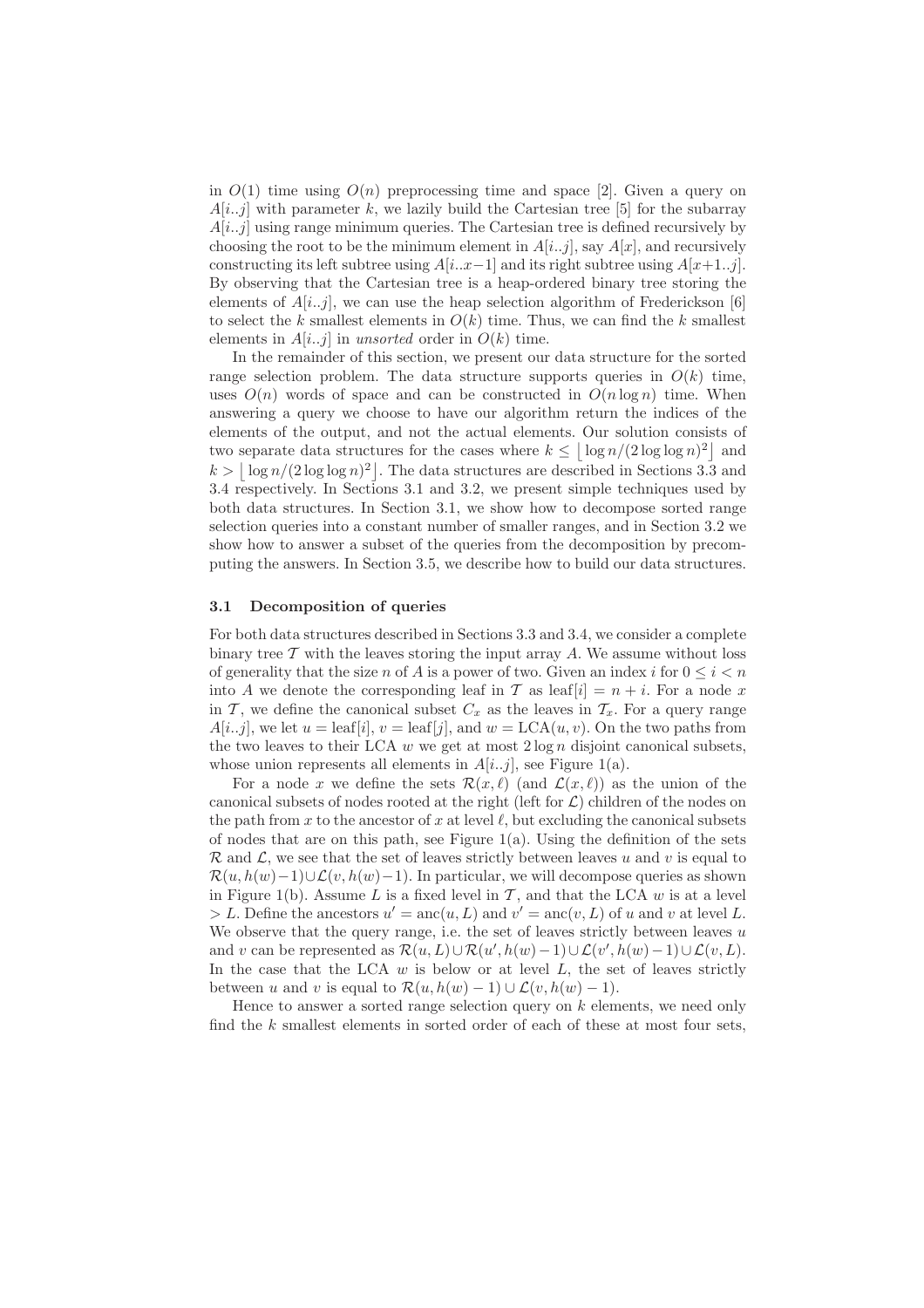in  $O(1)$  time using  $O(n)$  preprocessing time and space [2]. Given a query on  $A[i..j]$  with parameter k, we lazily build the Cartesian tree [5] for the subarray  $A[i..j]$  using range minimum queries. The Cartesian tree is defined recursively by choosing the root to be the minimum element in  $A[i..j]$ , say  $A[x]$ , and recursively constructing its left subtree using  $A[i..x-1]$  and its right subtree using  $A[x+1..j]$ . By observing that the Cartesian tree is a heap-ordered binary tree storing the elements of  $A[i..j]$ , we can use the heap selection algorithm of Frederickson [6] to select the k smallest elements in  $O(k)$  time. Thus, we can find the k smallest elements in  $A[i..j]$  in *unsorted* order in  $O(k)$  time.

In the remainder of this section, we present our data structure for the sorted range selection problem. The data structure supports queries in  $O(k)$  time, uses  $O(n)$  words of space and can be constructed in  $O(n \log n)$  time. When answering a query we choose to have our algorithm return the indices of the elements of the output, and not the actual elements. Our solution consists of two separate data structures for the cases where  $k \leq |\log n/(2 \log \log n)^2|$  and  $k > |\log n/(2\log\log n)^2|$ . The data structures are described in Sections 3.3 and 3.4 respectively. In Sections 3.1 and 3.2, we present simple techniques used by both data structures. In Section 3.1, we show how to decompose sorted range selection queries into a constant number of smaller ranges, and in Section 3.2 we show how to answer a subset of the queries from the decomposition by precomputing the answers. In Section 3.5, we describe how to build our data structures.

### 3.1 Decomposition of queries

For both data structures described in Sections 3.3 and 3.4, we consider a complete binary tree  $\mathcal T$  with the leaves storing the input array  $A$ . We assume without loss of generality that the size n of A is a power of two. Given an index i for  $0 \leq i \leq n$ into A we denote the corresponding leaf in T as leaf[i] =  $n + i$ . For a node x in T, we define the canonical subset  $C_x$  as the leaves in  $\mathcal{T}_x$ . For a query range  $A[i..j]$ , we let  $u = \text{leaf}[i], v = \text{leaf}[j]$ , and  $w = \text{LCA}(u, v)$ . On the two paths from the two leaves to their LCA  $w$  we get at most  $2 \log n$  disjoint canonical subsets, whose union represents all elements in  $A[i..j]$ , see Figure 1(a).

For a node x we define the sets  $\mathcal{R}(x,\ell)$  (and  $\mathcal{L}(x,\ell)$ ) as the union of the canonical subsets of nodes rooted at the right (left for  $\mathcal{L}$ ) children of the nodes on the path from x to the ancestor of x at level  $\ell$ , but excluding the canonical subsets of nodes that are on this path, see Figure  $1(a)$ . Using the definition of the sets R and L, we see that the set of leaves strictly between leaves u and v is equal to  $\mathcal{R}(u, h(w)-1) \cup \mathcal{L}(v, h(w)-1)$ . In particular, we will decompose queries as shown in Figure 1(b). Assume L is a fixed level in  $\mathcal{T}$ , and that the LCA w is at a level > L. Define the ancestors  $u' = \text{anc}(u, L)$  and  $v' = \text{anc}(v, L)$  of u and v at level L. We observe that the query range, i.e. the set of leaves strictly between leaves  $u$ and v can be represented as  $\mathcal{R}(u,L) \cup \mathcal{R}(u',h(w)-1) \cup \mathcal{L}(v',h(w)-1) \cup \mathcal{L}(v,L)$ . In the case that the LCA  $w$  is below or at level  $L$ , the set of leaves strictly between u and v is equal to  $\mathcal{R}(u, h(w) - 1) \cup \mathcal{L}(v, h(w) - 1)$ .

Hence to answer a sorted range selection query on  $k$  elements, we need only find the k smallest elements in sorted order of each of these at most four sets,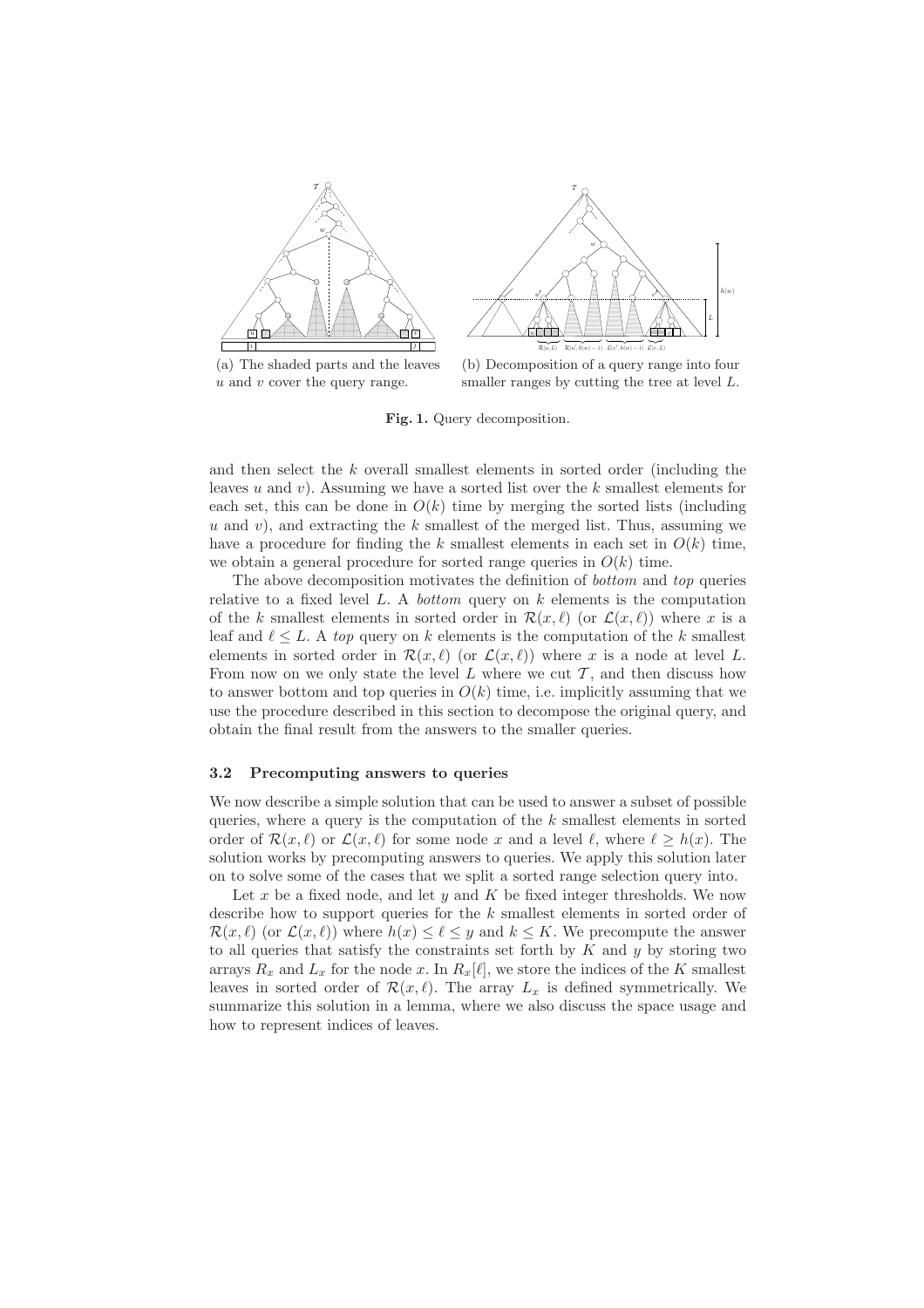

(a) The shaded parts and the leaves  $u$  and  $v$  cover the query range.



(b) Decomposition of a query range into four smaller ranges by cutting the tree at level L.

Fig. 1. Query decomposition.

and then select the k overall smallest elements in sorted order (including the leaves u and v). Assuming we have a sorted list over the k smallest elements for each set, this can be done in  $O(k)$  time by merging the sorted lists (including  $u$  and  $v$ ), and extracting the  $k$  smallest of the merged list. Thus, assuming we have a procedure for finding the k smallest elements in each set in  $O(k)$  time, we obtain a general procedure for sorted range queries in  $O(k)$  time.

The above decomposition motivates the definition of *bottom* and *top* queries relative to a fixed level L. A *bottom* query on k elements is the computation of the k smallest elements in sorted order in  $\mathcal{R}(x,\ell)$  (or  $\mathcal{L}(x,\ell)$ ) where x is a leaf and  $\ell \leq L$ . A *top* query on k elements is the computation of the k smallest elements in sorted order in  $\mathcal{R}(x,\ell)$  (or  $\mathcal{L}(x,\ell)$ ) where x is a node at level L. From now on we only state the level L where we cut  $\mathcal T$ , and then discuss how to answer bottom and top queries in  $O(k)$  time, i.e. implicitly assuming that we use the procedure described in this section to decompose the original query, and obtain the final result from the answers to the smaller queries.

## 3.2 Precomputing answers to queries

We now describe a simple solution that can be used to answer a subset of possible queries, where a query is the computation of the  $k$  smallest elements in sorted order of  $\mathcal{R}(x,\ell)$  or  $\mathcal{L}(x,\ell)$  for some node x and a level  $\ell$ , where  $\ell \geq h(x)$ . The solution works by precomputing answers to queries. We apply this solution later on to solve some of the cases that we split a sorted range selection query into.

Let  $x$  be a fixed node, and let  $y$  and  $K$  be fixed integer thresholds. We now describe how to support queries for the k smallest elements in sorted order of  $\mathcal{R}(x,\ell)$  (or  $\mathcal{L}(x,\ell)$ ) where  $h(x) \leq \ell \leq y$  and  $k \leq K$ . We precompute the answer to all queries that satisfy the constraints set forth by  $K$  and  $y$  by storing two arrays  $R_x$  and  $L_x$  for the node x. In  $R_x[\ell]$ , we store the indices of the K smallest leaves in sorted order of  $\mathcal{R}(x,\ell)$ . The array  $L_x$  is defined symmetrically. We summarize this solution in a lemma, where we also discuss the space usage and how to represent indices of leaves.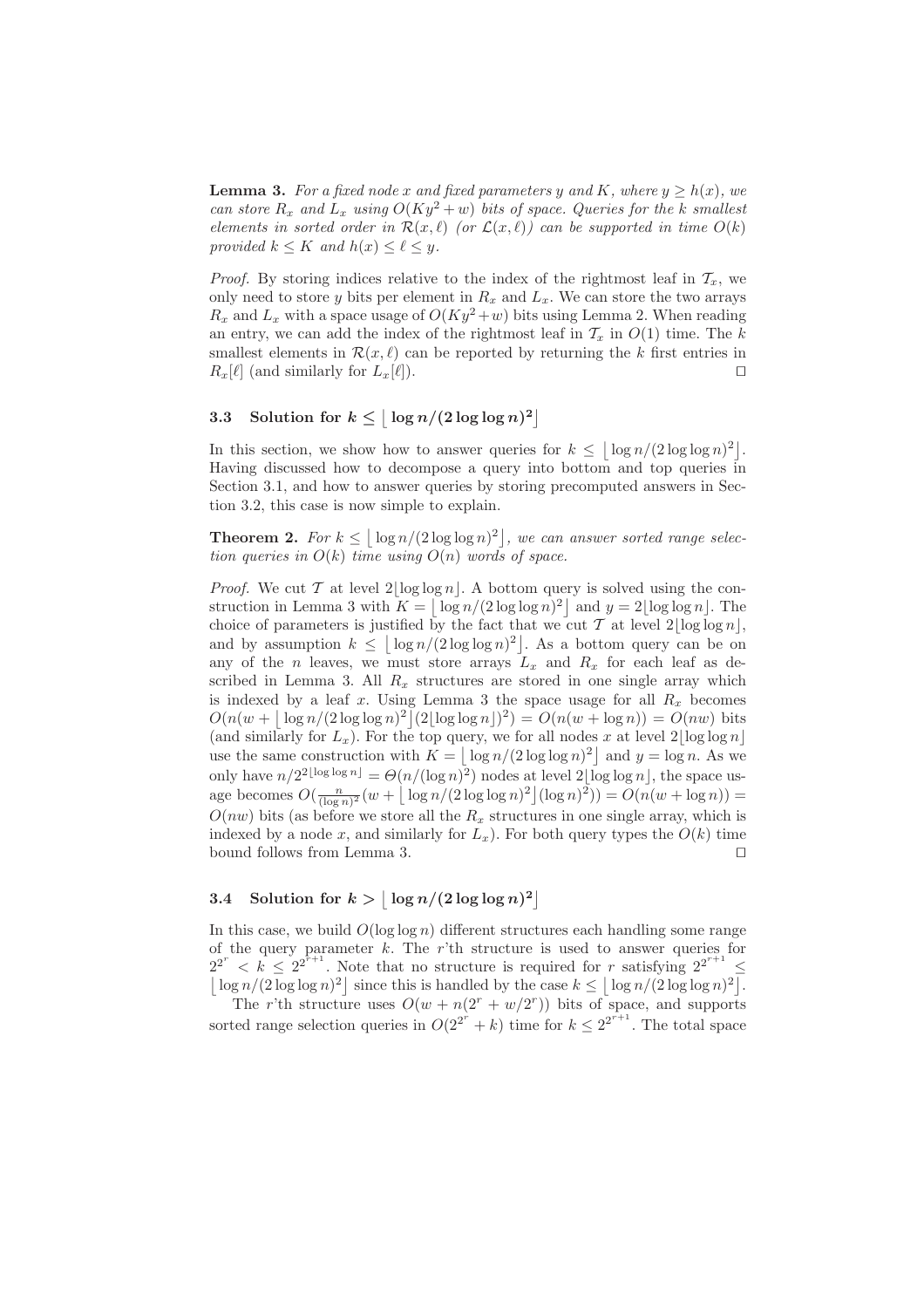**Lemma 3.** For a fixed node x and fixed parameters y and K, where  $y \geq h(x)$ , we *can store*  $R_x$  *and*  $L_x$  *using*  $O(Ky^2 + w)$  *bits of space. Queries for the* k *smallest elements in sorted order in*  $\mathcal{R}(x,\ell)$  *(or*  $\mathcal{L}(x,\ell)$ *) can be supported in time*  $O(k)$ *provided*  $k \leq K$  *and*  $h(x) \leq \ell \leq y$ *.* 

*Proof.* By storing indices relative to the index of the rightmost leaf in  $\mathcal{T}_x$ , we only need to store y bits per element in  $R_x$  and  $L_x$ . We can store the two arrays  $R_x$  and  $L_x$  with a space usage of  $O(Ky^2+w)$  bits using Lemma 2. When reading an entry, we can add the index of the rightmost leaf in  $\mathcal{T}_x$  in  $O(1)$  time. The k smallest elements in  $\mathcal{R}(x,\ell)$  can be reported by returning the k first entries in  $R_x[\ell]$  (and similarly for  $L_x[\ell]$ ). □

# 3.3 Solution for  $k \leq |\log n/(2\log\log n)^2|$

In this section, we show how to answer queries for  $k \leq |\log n/(2 \log \log n)^2|$ . Having discussed how to decompose a query into bottom and top queries in Section 3.1, and how to answer queries by storing precomputed answers in Section 3.2, this case is now simple to explain.

**Theorem 2.** For  $k \leq |\log n/(2 \log \log n)^2|$ , we can answer sorted range selec*tion queries in* O(k) *time using* O(n) *words of space.*

*Proof.* We cut  $\mathcal T$  at level  $2|\log \log n|$ . A bottom query is solved using the construction in Lemma 3 with  $K = |\log n/(2 \log \log n)^2|$  and  $y = 2\lfloor \log \log n \rfloor$ . The choice of parameters is justified by the fact that we cut  $\mathcal T$  at level  $2|\log\log n|$ , and by assumption  $k \leq |\log n/(2 \log \log n)^2|$ . As a bottom query can be on any of the n leaves, we must store arrays  $L_x$  and  $R_x$  for each leaf as described in Lemma 3. All  $R_x$  structures are stored in one single array which is indexed by a leaf x. Using Lemma 3 the space usage for all  $R_x$  becomes  $O(n(w + |\log n/(2 \log \log n)^2|(2 \log \log n))^2) = O(n(w + \log n)) = O(nw)$  bits (and similarly for  $L_x$ ). For the top query, we for all nodes x at level  $2|\log \log n|$ use the same construction with  $K = |\log n/(2 \log \log n)^2|$  and  $y = \log n$ . As we only have  $n/2^{2\lfloor \log \log n \rfloor} = \Theta(n/(\log n)^2)$  nodes at level  $2\lfloor \log \log n \rfloor$ , the space usage becomes  $O(\frac{n}{(\log n)^2}(w + \lfloor \log n/(2 \log \log n)^2 \rfloor (\log n)^2)) = O(n(w + \log n)) =$  $O(nw)$  bits (as before we store all the  $R_x$  structures in one single array, which is indexed by a node x, and similarly for  $L_x$ ). For both query types the  $O(k)$  time bound follows from Lemma 3. ⊓⊔

# 3.4 Solution for  $k > |\log n/(2\log\log n)^2|$

In this case, we build  $O(\log \log n)$  different structures each handling some range of the query parameter  $k$ . The r'th structure is used to answer queries for  $2^{2^r} < k \leq 2^{2^{r+1}}$ . Note that no structure is required for r satisfying  $2^{2^{r+1}} \leq$  $|\log n/(2\log\log n)^2|$  since this is handled by the case  $k \leq |\log n/(2\log\log n)^2|$ .

The r'th structure uses  $O(w + n(2^r + w/2^r))$  bits of space, and supports sorted range selection queries in  $O(2^{2^r} + k)$  time for  $k \leq 2^{2^{r+1}}$ . The total space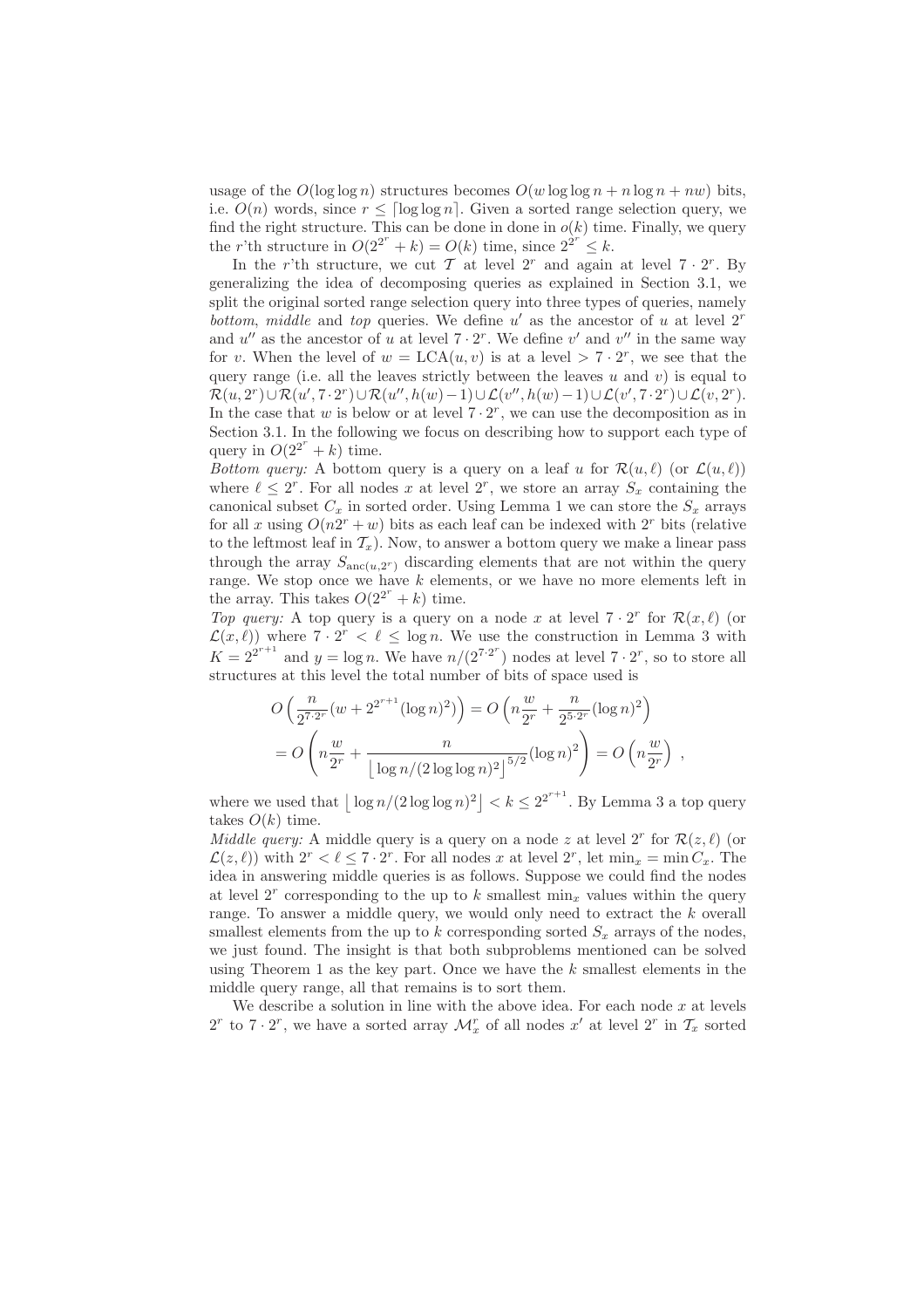usage of the  $O(\log \log n)$  structures becomes  $O(w \log \log n + n \log n + nw)$  bits, i.e.  $O(n)$  words, since  $r \leq \lceil \log \log n \rceil$ . Given a sorted range selection query, we find the right structure. This can be done in done in  $o(k)$  time. Finally, we query the *r*'th structure in  $O(2^{2^r} + k) = O(k)$  time, since  $2^{2^{r}} \leq k$ .

In the r'th structure, we cut  $\mathcal T$  at level  $2^r$  and again at level  $7 \cdot 2^r$ . By generalizing the idea of decomposing queries as explained in Section 3.1, we split the original sorted range selection query into three types of queries, namely *bottom, middle* and *top* queries. We define  $u'$  as the ancestor of u at level  $2^r$ and  $u''$  as the ancestor of u at level  $7 \cdot 2^r$ . We define  $v'$  and  $v''$  in the same way for v. When the level of  $w = LCA(u, v)$  is at a level  $> 7 \cdot 2^r$ , we see that the query range (i.e. all the leaves strictly between the leaves  $u$  and  $v$ ) is equal to  $\mathcal{R}(u,2^r) \cup \mathcal{R}(u',7\cdot 2^r) \cup \mathcal{R}(u'',h(w)-1) \cup \mathcal{L}(v'',h(w)-1) \cup \mathcal{L}(v',7\cdot 2^r) \cup \mathcal{L}(v,2^r).$ In the case that  $w$  is below or at level  $7 \cdot 2^r$ , we can use the decomposition as in Section 3.1. In the following we focus on describing how to support each type of query in  $O(2^{2^r} + k)$  time.

*Bottom query:* A bottom query is a query on a leaf u for  $\mathcal{R}(u, \ell)$  (or  $\mathcal{L}(u, \ell)$ ) where  $\ell \leq 2^r$ . For all nodes x at level  $2^r$ , we store an array  $S_x$  containing the canonical subset  $C_x$  in sorted order. Using Lemma 1 we can store the  $S_x$  arrays for all x using  $O(n2^r + w)$  bits as each leaf can be indexed with 2<sup>r</sup> bits (relative to the leftmost leaf in  $\mathcal{T}_x$ ). Now, to answer a bottom query we make a linear pass through the array  $S_{\text{anc}(u,2^r)}$  discarding elements that are not within the query range. We stop once we have  $k$  elements, or we have no more elements left in the array. This takes  $O(2^{2^r} + k)$  time.

Top query: A top query is a query on a node x at level  $7 \cdot 2^r$  for  $\mathcal{R}(x,\ell)$  (or  $\mathcal{L}(x,\ell)$  where  $7 \cdot 2^r < \ell \leq \log n$ . We use the construction in Lemma 3 with  $K = 2^{2^{r+1}}$  and  $y = \log n$ . We have  $n/(2^{7 \cdot 2^r})$  nodes at level  $7 \cdot 2^r$ , so to store all structures at this level the total number of bits of space used is

$$
O\left(\frac{n}{2^{7\cdot 2^r}}(w+2^{2^{r+1}}(\log n)^2)\right) = O\left(n\frac{w}{2^r} + \frac{n}{2^{5\cdot 2^r}}(\log n)^2\right)
$$
  
= 
$$
O\left(n\frac{w}{2^r} + \frac{n}{\left\lfloor \log n/(2\log \log n)^2 \right\rfloor^{5/2}}(\log n)^2\right) = O\left(n\frac{w}{2^r}\right) ,
$$

where we used that  $\left| \log n/(2 \log \log n)^2 \right| < k \leq 2^{2^{r+1}}$ . By Lemma 3 a top query takes  $O(k)$  time.

*Middle query:* A middle query is a query on a node z at level  $2^r$  for  $\mathcal{R}(z,\ell)$  (or  $\mathcal{L}(z,\ell)$  with  $2^r < \ell \leq 7 \cdot 2^r$ . For all nodes x at level  $2^r$ , let  $\min_x = \min C_x$ . The idea in answering middle queries is as follows. Suppose we could find the nodes at level  $2^r$  corresponding to the up to k smallest  $\min_x$  values within the query range. To answer a middle query, we would only need to extract the k overall smallest elements from the up to k corresponding sorted  $S<sub>x</sub>$  arrays of the nodes, we just found. The insight is that both subproblems mentioned can be solved using Theorem 1 as the key part. Once we have the  $k$  smallest elements in the middle query range, all that remains is to sort them.

We describe a solution in line with the above idea. For each node  $x$  at levels  $2^r$  to  $7 \cdot 2^r$ , we have a sorted array  $\mathcal{M}_x^r$  of all nodes  $x'$  at level  $2^r$  in  $\mathcal{T}_x$  sorted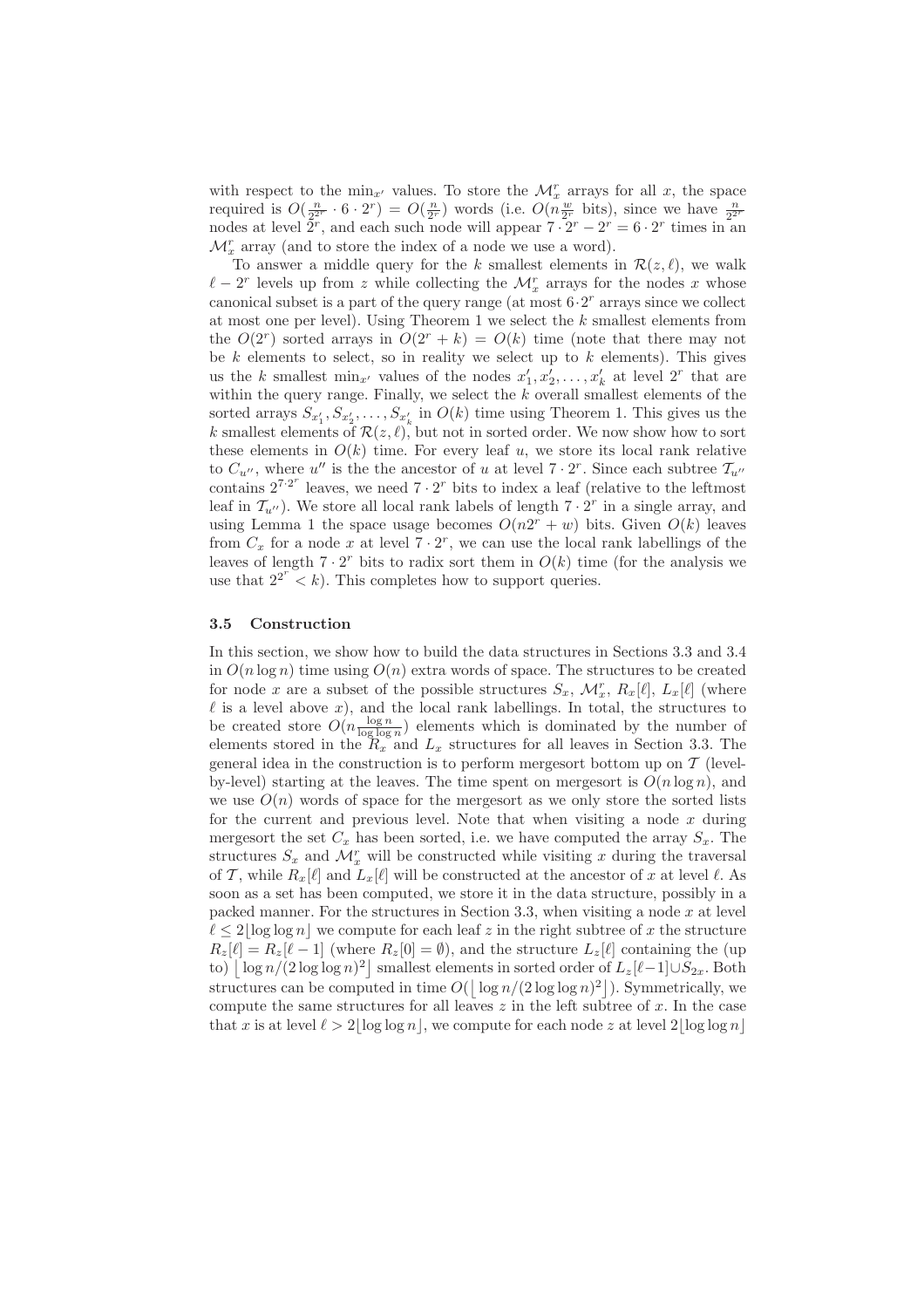with respect to the  $\min_{x'}$  values. To store the  $\mathcal{M}_x^r$  arrays for all x, the space required is  $O(\frac{n}{2^{2r}} \cdot 6 \cdot 2^r) = O(\frac{n}{2r})$  words (i.e.  $O(n\frac{w}{2r}$  bits), since we have  $\frac{n}{2^{2r}}$ nodes at level  $\overline{2}^r$ , and each such node will appear  $7 \cdot 2^r - 2^r = 6 \cdot 2^r$  times in an  $\mathcal{M}_x^r$  array (and to store the index of a node we use a word).

To answer a middle query for the k smallest elements in  $\mathcal{R}(z,\ell)$ , we walk  $\ell - 2^r$  levels up from z while collecting the  $\mathcal{M}^r_x$  arrays for the nodes x whose canonical subset is a part of the query range (at most  $6 \cdot 2^r$  arrays since we collect at most one per level). Using Theorem 1 we select the  $k$  smallest elements from the  $O(2^r)$  sorted arrays in  $O(2^r + k) = O(k)$  time (note that there may not be  $k$  elements to select, so in reality we select up to  $k$  elements). This gives us the k smallest  $\min_{x'}$  values of the nodes  $x'_1, x'_2, \ldots, x'_k$  at level  $2^r$  that are within the query range. Finally, we select the  $k$  overall smallest elements of the sorted arrays  $S_{x'_1}, S_{x'_2}, \ldots, S_{x'_k}$  in  $O(k)$  time using Theorem 1. This gives us the k smallest elements of  $\mathcal{R}(z,\ell)$ , but not in sorted order. We now show how to sort these elements in  $O(k)$  time. For every leaf u, we store its local rank relative to  $C_{u''}$ , where  $u''$  is the the ancestor of u at level  $7 \cdot 2^r$ . Since each subtree  $\mathcal{T}_{u''}$ contains  $2^{7\cdot 2^r}$  leaves, we need  $7 \cdot 2^r$  bits to index a leaf (relative to the leftmost leaf in  $T_{u''}$ ). We store all local rank labels of length  $7 \cdot 2^r$  in a single array, and using Lemma 1 the space usage becomes  $O(n2^r + w)$  bits. Given  $O(k)$  leaves from  $C_x$  for a node x at level  $7 \cdot 2^r$ , we can use the local rank labellings of the leaves of length  $7 \cdot 2^r$  bits to radix sort them in  $O(k)$  time (for the analysis we use that  $2^{2^r} < k$ ). This completes how to support queries.

#### 3.5 Construction

In this section, we show how to build the data structures in Sections 3.3 and 3.4 in  $O(n \log n)$  time using  $O(n)$  extra words of space. The structures to be created for node x are a subset of the possible structures  $S_x$ ,  $\mathcal{M}_x^r$ ,  $R_x[\ell]$ ,  $L_x[\ell]$  (where  $\ell$  is a level above x), and the local rank labellings. In total, the structures to be created store  $O(n \frac{\log n}{\log \log n})$  elements which is dominated by the number of elements stored in the  $R_x$  and  $L_x$  structures for all leaves in Section 3.3. The general idea in the construction is to perform mergesort bottom up on  $\mathcal T$  (levelby-level) starting at the leaves. The time spent on mergesort is  $O(n \log n)$ , and we use  $O(n)$  words of space for the mergesort as we only store the sorted lists for the current and previous level. Note that when visiting a node  $x$  during mergesort the set  $C_x$  has been sorted, i.e. we have computed the array  $S_x$ . The structures  $S_x$  and  $\mathcal{M}_x^r$  will be constructed while visiting x during the traversal of T, while  $R_x[\ell]$  and  $L_x[\ell]$  will be constructed at the ancestor of x at level  $\ell$ . As soon as a set has been computed, we store it in the data structure, possibly in a packed manner. For the structures in Section 3.3, when visiting a node  $x$  at level  $\ell \leq 2|\log \log n|$  we compute for each leaf z in the right subtree of x the structure  $R_z[\ell] = R_z[\ell-1]$  (where  $R_z[0] = \emptyset$ ), and the structure  $L_z[\ell]$  containing the (up to)  $\lfloor \log n/(2\log \log n)^2 \rfloor$  smallest elements in sorted order of  $L_z[\ell-1] \cup S_{2x}$ . Both structures can be computed in time  $O(|\log n/(2\log \log n)^2|)$ . Symmetrically, we compute the same structures for all leaves  $z$  in the left subtree of  $x$ . In the case that x is at level  $\ell > 2/\log \log n$ , we compute for each node z at level  $2/\log \log n$